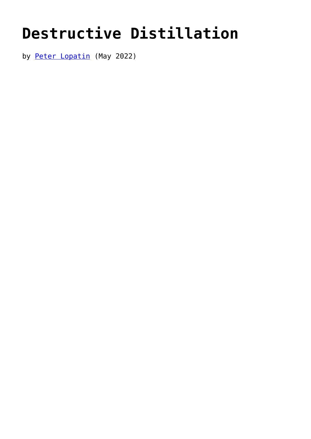## **[Destructive Distillation](https://www.newenglishreview.org/articles/destructive-distillation/)**

by [Peter Lopatin](https://www.newenglishreview.org/authors/peter-lopatin/?) (May 2022)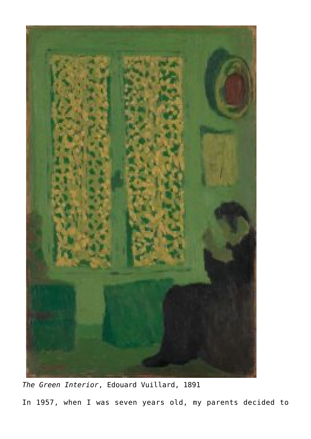

*The Green Interior*, Edouard Vuillard, 1891 In 1957, when I was seven years old, my parents decided to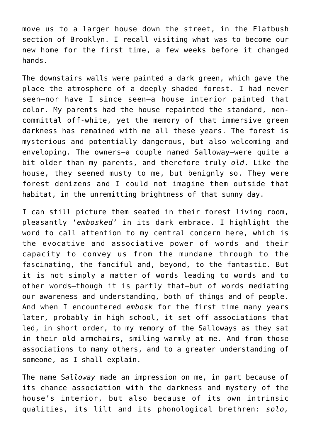move us to a larger house down the street, in the Flatbush section of Brooklyn. I recall visiting what was to become our new home for the first time, a few weeks before it changed hands.

The downstairs walls were painted a dark green, which gave the place the atmosphere of a deeply shaded forest. I had never seen—nor have I since seen—a house interior painted that color. My parents had the house repainted the standard, noncommittal off-white, yet the memory of that immersive green darkness has remained with me all these years. The forest is mysterious and potentially dangerous, but also welcoming and enveloping. The owners—a couple named Salloway—were quite a bit older than my parents, and therefore truly *old*. Like the house, they seemed musty to me, but benignly so. They were forest denizens and I could not imagine them outside that habitat, in the unremitting brightness of that sunny day.

I can still picture them seated in their forest living room, pleasantly '*embosked'* in its dark embrace. I highlight the word to call attention to my central concern here, which is the evocative and associative power of words and their capacity to convey us from the mundane through to the fascinating, the fanciful and, beyond, to the fantastic. But it is not simply a matter of words leading to words and to other words—though it is partly that—but of words mediating our awareness and understanding, both of things and of people. And when I encountered *embosk* for the first time many years later, probably in high school, it set off associations that led, in short order, to my memory of the Salloways as they sat in their old armchairs, smiling warmly at me. And from those associations to many others, and to a greater understanding of someone, as I shall explain.

The name S*alloway* made an impression on me, in part because of its chance association with the darkness and mystery of the house's interior, but also because of its own intrinsic qualities, its lilt and its phonological brethren: *solo,*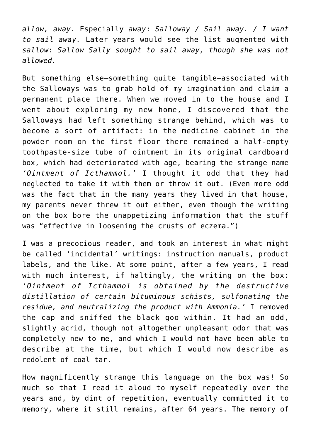*allow, away.* Especially *away*: *Salloway / Sail away. / I want to sail away.* Later years would see the list augmented with *sallow*: *Sallow Sally sought to sail away, though she was not allowed.*

But something else—something quite tangible—associated with the Salloways was to grab hold of my imagination and claim a permanent place there. When we moved in to the house and I went about exploring my new home, I discovered that the Salloways had left something strange behind, which was to become a sort of artifact: in the medicine cabinet in the powder room on the first floor there remained a half-empty toothpaste-size tube of ointment in its original cardboard box, which had deteriorated with age, bearing the strange name *'Ointment of Icthammol.'* I thought it odd that they had neglected to take it with them or throw it out. (Even more odd was the fact that in the many years they lived in that house, my parents never threw it out either, even though the writing on the box bore the unappetizing information that the stuff was "effective in loosening the crusts of eczema.")

I was a precocious reader, and took an interest in what might be called 'incidental' writings: instruction manuals, product labels, and the like. At some point, after a few years, I read with much interest, if haltingly, the writing on the box: *'Ointment of Icthammol is obtained by the destructive distillation of certain bituminous schists, sulfonating the residue, and neutralizing the product with Ammonia.'* I removed the cap and sniffed the black goo within. It had an odd, slightly acrid, though not altogether unpleasant odor that was completely new to me, and which I would not have been able to describe at the time, but which I would now describe as redolent of coal tar.

How magnificently strange this language on the box was! So much so that I read it aloud to myself repeatedly over the years and, by dint of repetition, eventually committed it to memory, where it still remains, after 64 years. The memory of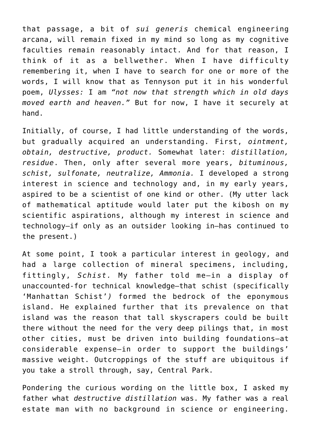that passage, a bit of *sui generis* chemical engineering arcana, will remain fixed in my mind so long as my cognitive faculties remain reasonably intact. And for that reason, I think of it as a bellwether. When I have difficulty remembering it, when I have to search for one or more of the words, I will know that as Tennyson put it in his wonderful poem, *Ulysses:* I am *"not now that strength which in old days moved earth and heaven."* But for now, I have it securely at hand.

Initially, of course, I had little understanding of the words, but gradually acquired an understanding. First, *ointment, obtain, destructive, product.* Somewhat later: *distillation, residue*. Then, only after several more years, *bituminous, schist, sulfonate, neutralize, Ammonia.* I developed a strong interest in science and technology and, in my early years, aspired to be a scientist of one kind or other. (My utter lack of mathematical aptitude would later put the kibosh on my scientific aspirations, although my interest in science and technology—if only as an outsider looking in—has continued to the present.)

At some point, I took a particular interest in geology, and had a large collection of mineral specimens, including, fittingly, *Schist.* My father told me—in a display of unaccounted-for technical knowledge—that schist (specifically 'Manhattan Schist'*)* formed the bedrock of the eponymous island. He explained further that its prevalence on that island was the reason that tall skyscrapers could be built there without the need for the very deep pilings that, in most other cities, must be driven into building foundations—at considerable expense—in order to support the buildings' massive weight. Outcroppings of the stuff are ubiquitous if you take a stroll through, say, Central Park.

Pondering the curious wording on the little box, I asked my father what *destructive distillation* was. My father was a real estate man with no background in science or engineering.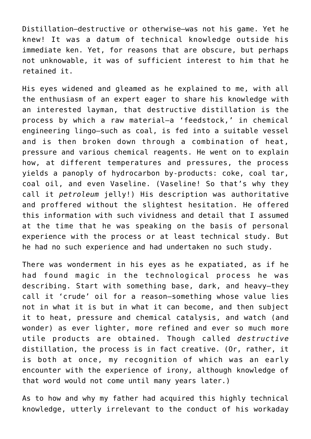Distillation—destructive or otherwise—was not his game. Yet he knew! It was a datum of technical knowledge outside his immediate ken. Yet, for reasons that are obscure, but perhaps not unknowable, it was of sufficient interest to him that he retained it.

His eyes widened and gleamed as he explained to me, with all the enthusiasm of an expert eager to share his knowledge with an interested layman, that destructive distillation is the process by which a raw material—a 'feedstock,' in chemical engineering lingo—such as coal, is fed into a suitable vessel and is then broken down through a combination of heat, pressure and various chemical reagents. He went on to explain how, at different temperatures and pressures, the process yields a panoply of hydrocarbon by-products: coke, coal tar, coal oil, and even Vaseline. (Vaseline! So that's why they call it *petroleum* jelly!) His description was authoritative and proffered without the slightest hesitation. He offered this information with such vividness and detail that I assumed at the time that he was speaking on the basis of personal experience with the process or at least technical study. But he had no such experience and had undertaken no such study.

There was wonderment in his eyes as he expatiated, as if he had found magic in the technological process he was describing. Start with something base, dark, and heavy—they call it 'crude' oil for a reason—something whose value lies not in what it is but in what it can become, and then subject it to heat, pressure and chemical catalysis, and watch (and wonder) as ever lighter, more refined and ever so much more utile products are obtained. Though called *destructive* distillation, the process is in fact creative. (Or, rather, it is both at once, my recognition of which was an early encounter with the experience of irony, although knowledge of that word would not come until many years later.)

As to how and why my father had acquired this highly technical knowledge, utterly irrelevant to the conduct of his workaday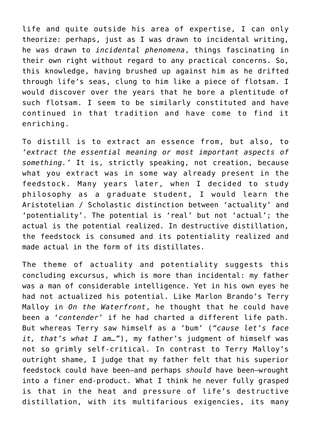life and quite outside his area of expertise, I can only theorize: perhaps, just as I was drawn to incidental writing, he was drawn to *incidental phenomena*, things fascinating in their own right without regard to any practical concerns. So, this knowledge, having brushed up against him as he drifted through life's seas, clung to him like a piece of flotsam. I would discover over the years that he bore a plentitude of such flotsam. I seem to be similarly constituted and have continued in that tradition and have come to find it enriching.

To distill is to extract an essence from, but also, to *'extract the essential meaning or most important aspects of something.'* It is, strictly speaking, not creation, because what you extract was in some way already present in the feedstock. Many years later, when I decided to study philosophy as a graduate student, I would learn the Aristotelian / Scholastic distinction between 'actuality' and 'potentiality'. The potential is 'real' but not 'actual'; the actual is the potential realized. In destructive distillation, the feedstock is consumed and its potentiality realized and made actual in the form of its distillates.

The theme of actuality and potentiality suggests this concluding excursus, which is more than incidental: my father was a man of considerable intelligence. Yet in his own eyes he had not actualized his potential. Like Marlon Brando's Terry Malloy in *On the Waterfront*, he thought that he could have been a '*contender*' if he had charted a different life path. But whereas Terry saw himself as a 'bum' (*"cause let's face it, that's what I am…"*), my father's judgment of himself was not so grimly self-critical. In contrast to Terry Malloy's outright shame, I judge that my father felt that his superior feedstock could have been—and perhaps *should* have been—wrought into a finer end-product. What I think he never fully grasped is that in the heat and pressure of life's destructive distillation, with its multifarious exigencies, its many